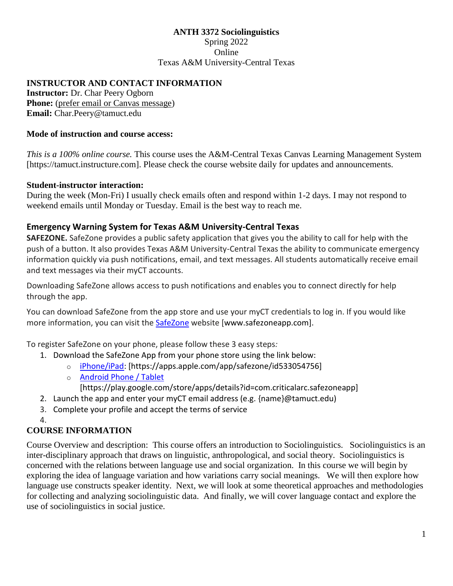#### **ANTH 3372 Sociolinguistics** Spring 2022 Online Texas A&M University-Central Texas

## **INSTRUCTOR AND CONTACT INFORMATION**

**Instructor:** Dr. Char Peery Ogborn **Phone:** (prefer email or Canvas message) **Email:** Char.Peery@tamuct.edu

#### **Mode of instruction and course access:**

*This is a 100% online course.* This course uses the A&M-Central Texas Canvas Learning Management System [https://tamuct.instructure.com]. Please check the course website daily for updates and announcements.

#### **Student-instructor interaction:**

During the week (Mon-Fri) I usually check emails often and respond within 1-2 days. I may not respond to weekend emails until Monday or Tuesday. Email is the best way to reach me.

## **Emergency Warning System for Texas A&M University-Central Texas**

**SAFEZONE.** SafeZone provides a public safety application that gives you the ability to call for help with the push of a button. It also provides Texas A&M University-Central Texas the ability to communicate emergency information quickly via push notifications, email, and text messages. All students automatically receive email and text messages via their myCT accounts.

Downloading SafeZone allows access to push notifications and enables you to connect directly for help through the app.

You can download SafeZone from the app store and use your myCT credentials to log in. If you would like more information, you can visit the [SafeZone](http://www.safezoneapp.com/) website [www.safezoneapp.com].

To register SafeZone on your phone, please follow these 3 easy steps*:*

- 1. Download the SafeZone App from your phone store using the link below:
	- o [iPhone/iPad:](https://apps.apple.com/app/safezone/id533054756) [https://apps.apple.com/app/safezone/id533054756]
	- o [Android Phone / Tablet](https://play.google.com/store/apps/details?id=com.criticalarc.safezoneapp) [https://play.google.com/store/apps/details?id=com.criticalarc.safezoneapp]
- 2. Launch the app and enter your myCT email address (e.g. {name}@tamuct.edu)
- 3. Complete your profile and accept the terms of service
- 4.

# **COURSE INFORMATION**

Course Overview and description: This course offers an introduction to Sociolinguistics. Sociolinguistics is an inter-disciplinary approach that draws on linguistic, anthropological, and social theory. Sociolinguistics is concerned with the relations between language use and social organization. In this course we will begin by exploring the idea of language variation and how variations carry social meanings. We will then explore how language use constructs speaker identity. Next, we will look at some theoretical approaches and methodologies for collecting and analyzing sociolinguistic data. And finally, we will cover language contact and explore the use of sociolinguistics in social justice.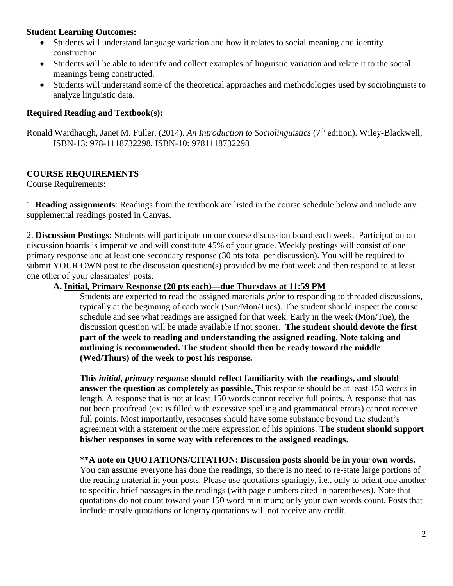#### **Student Learning Outcomes:**

- Students will understand language variation and how it relates to social meaning and identity construction.
- Students will be able to identify and collect examples of linguistic variation and relate it to the social meanings being constructed.
- Students will understand some of the theoretical approaches and methodologies used by sociolinguists to analyze linguistic data.

#### **Required Reading and Textbook(s):**

Ronald Wardhaugh, Janet M. Fuller. (2014). *An Introduction to Sociolinguistics* (7<sup>th</sup> edition). Wiley-Blackwell, ISBN-13: 978-1118732298, ISBN-10: 9781118732298

# **COURSE REQUIREMENTS**

Course Requirements:

1. **Reading assignments**: Readings from the textbook are listed in the course schedule below and include any supplemental readings posted in Canvas.

2. **Discussion Postings:** Students will participate on our course discussion board each week. Participation on discussion boards is imperative and will constitute 45% of your grade. Weekly postings will consist of one primary response and at least one secondary response (30 pts total per discussion). You will be required to submit YOUR OWN post to the discussion question(s) provided by me that week and then respond to at least one other of your classmates' posts.

#### **A. Initial, Primary Response (20 pts each)—due Thursdays at 11:59 PM**

Students are expected to read the assigned materials *prior* to responding to threaded discussions, typically at the beginning of each week (Sun/Mon/Tues). The student should inspect the course schedule and see what readings are assigned for that week. Early in the week (Mon/Tue), the discussion question will be made available if not sooner. **The student should devote the first part of the week to reading and understanding the assigned reading. Note taking and outlining is recommended. The student should then be ready toward the middle (Wed/Thurs) of the week to post his response.**

**This** *initial, primary response* **should reflect familiarity with the readings, and should answer the question as completely as possible.** This response should be at least 150 words in length. A response that is not at least 150 words cannot receive full points. A response that has not been proofread (ex: is filled with excessive spelling and grammatical errors) cannot receive full points. Most importantly*,* responses should have some substance beyond the student's agreement with a statement or the mere expression of his opinions. **The student should support his/her responses in some way with references to the assigned readings.**

**\*\*A note on QUOTATIONS/CITATION: Discussion posts should be in your own words.** You can assume everyone has done the readings, so there is no need to re-state large portions of the reading material in your posts. Please use quotations sparingly, i.e., only to orient one another to specific, brief passages in the readings (with page numbers cited in parentheses). Note that quotations do not count toward your 150 word minimum; only your own words count. Posts that include mostly quotations or lengthy quotations will not receive any credit.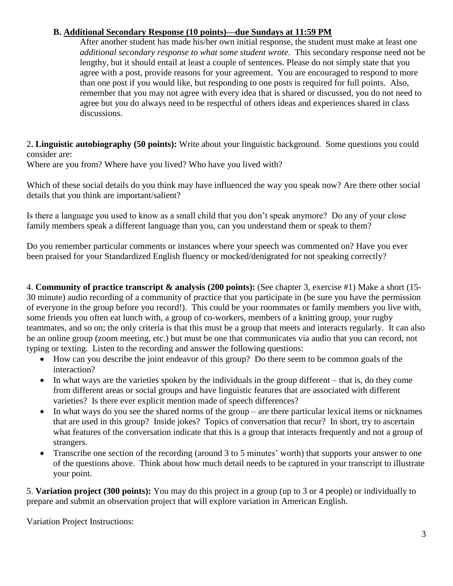## **B. Additional Secondary Response (10 points)—due Sundays at 11:59 PM**

After another student has made his/her own initial response, the student must make at least one *additional secondary response to what some student wrote.* This secondary response need not be lengthy, but it should entail at least a couple of sentences. Please do not simply state that you agree with a post, provide reasons for your agreement. You are encouraged to respond to more than one post if you would like, but responding to one posts is required for full points. Also, remember that you may not agree with every idea that is shared or discussed, you do not need to agree but you do always need to be respectful of others ideas and experiences shared in class discussions.

2**. Linguistic autobiography (50 points):** Write about your linguistic background. Some questions you could consider are:

Where are you from? Where have you lived? Who have you lived with?

Which of these social details do you think may have influenced the way you speak now? Are there other social details that you think are important/salient?

Is there a language you used to know as a small child that you don't speak anymore? Do any of your close family members speak a different language than you, can you understand them or speak to them?

Do you remember particular comments or instances where your speech was commented on? Have you ever been praised for your Standardized English fluency or mocked/denigrated for not speaking correctly?

4. **Community of practice transcript & analysis (200 points):** (See chapter 3, exercise #1) Make a short (15- 30 minute) audio recording of a community of practice that you participate in (be sure you have the permission of everyone in the group before you record!). This could be your roommates or family members you live with, some friends you often eat lunch with, a group of co-workers, members of a knitting group, your rugby teammates, and so on; the only criteria is that this must be a group that meets and interacts regularly. It can also be an online group (zoom meeting, etc.) but must be one that communicates via audio that you can record, not typing or texting. Listen to the recording and answer the following questions:

- How can you describe the joint endeavor of this group? Do there seem to be common goals of the interaction?
- In what ways are the varieties spoken by the individuals in the group different that is, do they come from different areas or social groups and have linguistic features that are associated with different varieties? Is there ever explicit mention made of speech differences?
- In what ways do you see the shared norms of the group are there particular lexical items or nicknames that are used in this group? Inside jokes? Topics of conversation that recur? In short, try to ascertain what features of the conversation indicate that this is a group that interacts frequently and not a group of strangers.
- Transcribe one section of the recording (around 3 to 5 minutes' worth) that supports your answer to one of the questions above. Think about how much detail needs to be captured in your transcript to illustrate your point.

5. **Variation project (300 points):** You may do this project in a group (up to 3 or 4 people) or individually to prepare and submit an observation project that will explore variation in American English.

Variation Project Instructions: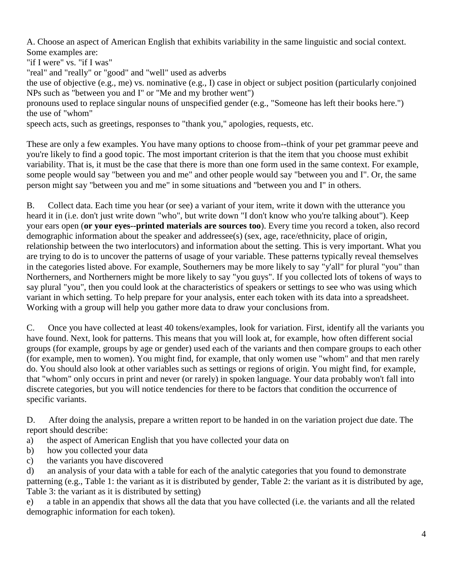A. Choose an aspect of American English that exhibits variability in the same linguistic and social context. Some examples are:

"if I were" vs. "if I was"

"real" and "really" or "good" and "well" used as adverbs

the use of objective (e.g., me) vs. nominative (e.g., I) case in object or subject position (particularly conjoined NPs such as "between you and I" or "Me and my brother went")

pronouns used to replace singular nouns of unspecified gender (e.g., "Someone has left their books here.") the use of "whom"

speech acts, such as greetings, responses to "thank you," apologies, requests, etc.

These are only a few examples. You have many options to choose from--think of your pet grammar peeve and you're likely to find a good topic. The most important criterion is that the item that you choose must exhibit variability. That is, it must be the case that there is more than one form used in the same context. For example, some people would say "between you and me" and other people would say "between you and I". Or, the same person might say "between you and me" in some situations and "between you and I" in others.

B. Collect data. Each time you hear (or see) a variant of your item, write it down with the utterance you heard it in (i.e. don't just write down "who", but write down "I don't know who you're talking about"). Keep your ears open (**or your eyes--printed materials are sources too**). Every time you record a token, also record demographic information about the speaker and addressee(s) (sex, age, race/ethnicity, place of origin, relationship between the two interlocutors) and information about the setting. This is very important. What you are trying to do is to uncover the patterns of usage of your variable. These patterns typically reveal themselves in the categories listed above. For example, Southerners may be more likely to say "y'all" for plural "you" than Northerners, and Northerners might be more likely to say "you guys". If you collected lots of tokens of ways to say plural "you", then you could look at the characteristics of speakers or settings to see who was using which variant in which setting. To help prepare for your analysis, enter each token with its data into a spreadsheet. Working with a group will help you gather more data to draw your conclusions from.

C. Once you have collected at least 40 tokens/examples, look for variation. First, identify all the variants you have found. Next, look for patterns. This means that you will look at, for example, how often different social groups (for example, groups by age or gender) used each of the variants and then compare groups to each other (for example, men to women). You might find, for example, that only women use "whom" and that men rarely do. You should also look at other variables such as settings or regions of origin. You might find, for example, that "whom" only occurs in print and never (or rarely) in spoken language. Your data probably won't fall into discrete categories, but you will notice tendencies for there to be factors that condition the occurrence of specific variants.

D. After doing the analysis, prepare a written report to be handed in on the variation project due date. The report should describe:

- a) the aspect of American English that you have collected your data on
- b) how you collected your data
- c) the variants you have discovered

d) an analysis of your data with a table for each of the analytic categories that you found to demonstrate patterning (e.g., Table 1: the variant as it is distributed by gender, Table 2: the variant as it is distributed by age, Table 3: the variant as it is distributed by setting)

e) a table in an appendix that shows all the data that you have collected (i.e. the variants and all the related demographic information for each token).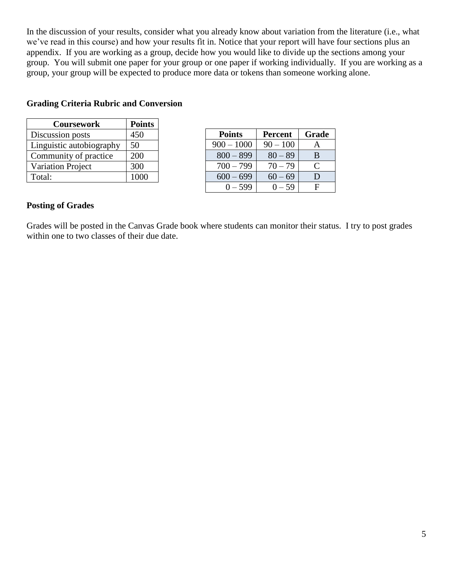In the discussion of your results, consider what you already know about variation from the literature (i.e., what we've read in this course) and how your results fit in. Notice that your report will have four sections plus an appendix. If you are working as a group, decide how you would like to divide up the sections among your group. You will submit one paper for your group or one paper if working individually. If you are working as a group, your group will be expected to produce more data or tokens than someone working alone.

# **Grading Criteria Rubric and Conversion**

| <b>Coursework</b>        | <b>Points</b> |
|--------------------------|---------------|
| Discussion posts         | 450           |
| Linguistic autobiography | 50            |
| Community of practice    | 200           |
| <b>Variation Project</b> | 300           |
| Total:                   | 1000          |

| <b>Points</b> | <b>Percent</b> | Grade     |
|---------------|----------------|-----------|
| $900 - 1000$  | $90 - 100$     |           |
| $800 - 899$   | $80 - 89$      | B         |
| $700 - 799$   | $70 - 79$      | $\subset$ |
| $600 - 699$   | $60 - 69$      | I)        |
| $0 - 599$     | $(1 - 59)$     | F         |

#### **Posting of Grades**

Grades will be posted in the Canvas Grade book where students can monitor their status. I try to post grades within one to two classes of their due date.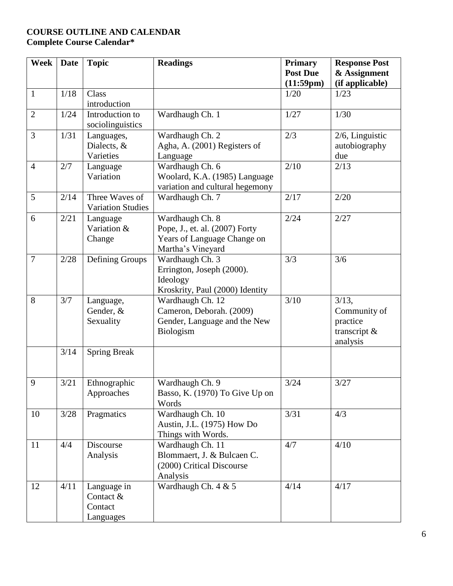# **COURSE OUTLINE AND CALENDAR Complete Course Calendar\***

| Week           | <b>Date</b> | <b>Topic</b>             | <b>Readings</b>                 | <b>Primary</b>  | <b>Response Post</b> |
|----------------|-------------|--------------------------|---------------------------------|-----------------|----------------------|
|                |             |                          |                                 | <b>Post Due</b> | & Assignment         |
|                |             |                          |                                 | (11:59pm)       | (if applicable)      |
| $\mathbf{1}$   | 1/18        | Class                    |                                 | 1/20            | 1/23                 |
|                |             | introduction             |                                 |                 |                      |
| $\overline{2}$ | 1/24        | Introduction to          | Wardhaugh Ch. 1                 | 1/27            | 1/30                 |
|                |             | sociolinguistics         |                                 |                 |                      |
| 3              | 1/31        | Languages,               | Wardhaugh Ch. 2                 | 2/3             | 2/6, Linguistic      |
|                |             | Dialects, &              | Agha, A. (2001) Registers of    |                 | autobiography        |
|                |             | Varieties                | Language                        |                 | due                  |
| $\overline{4}$ | 2/7         | Language                 | Wardhaugh Ch. 6                 | 2/10            | 2/13                 |
|                |             | Variation                | Woolard, K.A. (1985) Language   |                 |                      |
|                |             |                          | variation and cultural hegemony |                 |                      |
| 5              | 2/14        | Three Waves of           | Wardhaugh Ch. 7                 | 2/17            | 2/20                 |
|                |             | <b>Variation Studies</b> |                                 |                 |                      |
| 6              | 2/21        | Language                 | Wardhaugh Ch. 8                 | 2/24            | 2/27                 |
|                |             | Variation &              | Pope, J., et. al. (2007) Forty  |                 |                      |
|                |             | Change                   | Years of Language Change on     |                 |                      |
|                |             |                          | Martha's Vineyard               |                 |                      |
| $\overline{7}$ | 2/28        | Defining Groups          | Wardhaugh Ch. 3                 | 3/3             | 3/6                  |
|                |             |                          | Errington, Joseph (2000).       |                 |                      |
|                |             |                          | Ideology                        |                 |                      |
|                |             |                          | Kroskrity, Paul (2000) Identity |                 |                      |
| 8              | 3/7         | Language,                | Wardhaugh Ch. 12                | 3/10            | 3/13,                |
|                |             | Gender, &                | Cameron, Deborah. (2009)        |                 | Community of         |
|                |             | Sexuality                | Gender, Language and the New    |                 | practice             |
|                |             |                          | Biologism                       |                 | transcript $\&$      |
|                |             |                          |                                 |                 | analysis             |
|                | $3/14$      | <b>Spring Break</b>      |                                 |                 |                      |
|                |             |                          |                                 |                 |                      |
|                |             |                          |                                 |                 |                      |
| 9              | 3/21        | Ethnographic             | Wardhaugh Ch. 9                 | 3/24            | 3/27                 |
|                |             | Approaches               | Basso, K. (1970) To Give Up on  |                 |                      |
|                |             |                          | Words                           |                 |                      |
| 10             | 3/28        | Pragmatics               | Wardhaugh Ch. 10                | 3/31            | 4/3                  |
|                |             |                          | Austin, J.L. (1975) How Do      |                 |                      |
|                |             |                          | Things with Words.              |                 |                      |
| 11             | 4/4         | Discourse                | Wardhaugh Ch. 11                | 4/7             | 4/10                 |
|                |             | Analysis                 | Blommaert, J. & Bulcaen C.      |                 |                      |
|                |             |                          | (2000) Critical Discourse       |                 |                      |
|                |             |                          | Analysis                        |                 |                      |
| 12             | 4/11        | Language in              | Wardhaugh Ch. 4 & 5             | 4/14            | 4/17                 |
|                |             | Contact &                |                                 |                 |                      |
|                |             | Contact                  |                                 |                 |                      |
|                |             | Languages                |                                 |                 |                      |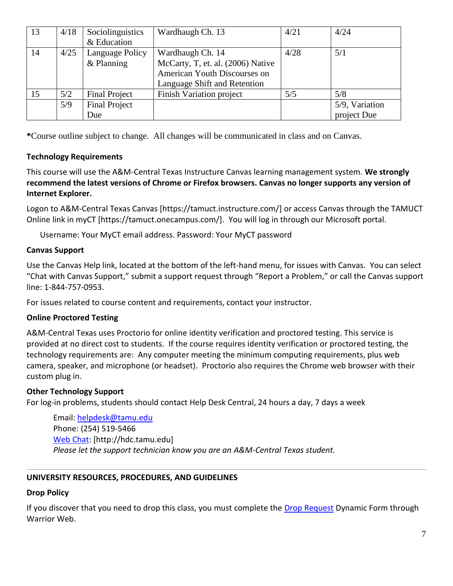| 13 | 4/18 | Sociolinguistics     | Wardhaugh Ch. 13                  | 4/21 | 4/24           |
|----|------|----------------------|-----------------------------------|------|----------------|
|    |      | & Education          |                                   |      |                |
| 14 | 4/25 | Language Policy      | Wardhaugh Ch. 14                  | 4/28 | 5/1            |
|    |      | $&$ Planning         | McCarty, T, et. al. (2006) Native |      |                |
|    |      |                      | American Youth Discourses on      |      |                |
|    |      |                      | Language Shift and Retention      |      |                |
| 15 | 5/2  | <b>Final Project</b> | <b>Finish Variation project</b>   | 5/5  | 5/8            |
|    | 5/9  | <b>Final Project</b> |                                   |      | 5/9, Variation |
|    |      | Due                  |                                   |      | project Due    |

**\***Course outline subject to change. All changes will be communicated in class and on Canvas.

## **Technology Requirements**

This course will use the A&M-Central Texas Instructure Canvas learning management system. **We strongly recommend the latest versions of Chrome or Firefox browsers. Canvas no longer supports any version of Internet Explorer.**

Logon to A&M-Central Texas Canvas [https://tamuct.instructure.com/] or access Canvas through the TAMUCT Online link in myCT [https://tamuct.onecampus.com/]. You will log in through our Microsoft portal.

Username: Your MyCT email address. Password: Your MyCT password

## **Canvas Support**

Use the Canvas Help link, located at the bottom of the left-hand menu, for issues with Canvas. You can select "Chat with Canvas Support," submit a support request through "Report a Problem," or call the Canvas support line: 1-844-757-0953.

For issues related to course content and requirements, contact your instructor.

# **Online Proctored Testing**

A&M-Central Texas uses Proctorio for online identity verification and proctored testing. This service is provided at no direct cost to students. If the course requires identity verification or proctored testing, the technology requirements are: Any computer meeting the minimum computing requirements, plus web camera, speaker, and microphone (or headset). Proctorio also requires the Chrome web browser with their custom plug in.

#### **Other Technology Support**

For log-in problems, students should contact Help Desk Central, 24 hours a day, 7 days a week

Email: [helpdesk@tamu.edu](mailto:helpdesk@tamu.edu) Phone: (254) 519-5466 [Web Chat:](http://hdc.tamu.edu/) [http://hdc.tamu.edu] *Please let the support technician know you are an A&M-Central Texas student.*

#### **UNIVERSITY RESOURCES, PROCEDURES, AND GUIDELINES**

#### **Drop Policy**

If you discover that you need to drop this class, you must complete the [Drop Request](https://dynamicforms.ngwebsolutions.com/casAuthentication.ashx?InstID=eaed95b9-f2be-45f3-a37d-46928168bc10&targetUrl=https%3A%2F%2Fdynamicforms.ngwebsolutions.com%2FSubmit%2FForm%2FStart%2F53b8369e-0502-4f36-be43-f02a4202f612) Dynamic Form through Warrior Web.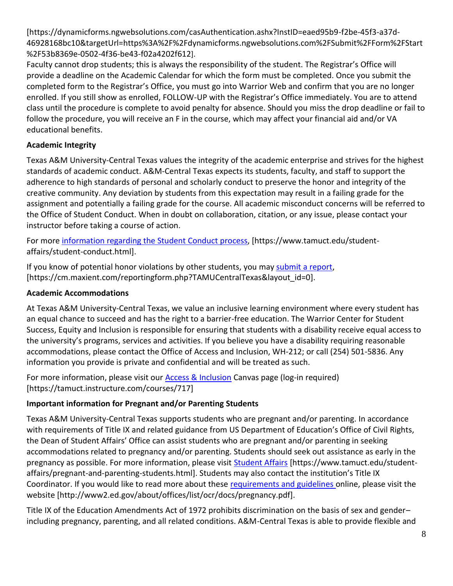[https://dynamicforms.ngwebsolutions.com/casAuthentication.ashx?InstID=eaed95b9-f2be-45f3-a37d-46928168bc10&targetUrl=https%3A%2F%2Fdynamicforms.ngwebsolutions.com%2FSubmit%2FForm%2FStart %2F53b8369e-0502-4f36-be43-f02a4202f612].

Faculty cannot drop students; this is always the responsibility of the student. The Registrar's Office will provide a deadline on the Academic Calendar for which the form must be completed. Once you submit the completed form to the Registrar's Office, you must go into Warrior Web and confirm that you are no longer enrolled. If you still show as enrolled, FOLLOW-UP with the Registrar's Office immediately. You are to attend class until the procedure is complete to avoid penalty for absence. Should you miss the drop deadline or fail to follow the procedure, you will receive an F in the course, which may affect your financial aid and/or VA educational benefits.

# **Academic Integrity**

Texas A&M University-Central Texas values the integrity of the academic enterprise and strives for the highest standards of academic conduct. A&M-Central Texas expects its students, faculty, and staff to support the adherence to high standards of personal and scholarly conduct to preserve the honor and integrity of the creative community. Any deviation by students from this expectation may result in a failing grade for the assignment and potentially a failing grade for the course. All academic misconduct concerns will be referred to the Office of Student Conduct. When in doubt on collaboration, citation, or any issue, please contact your instructor before taking a course of action.

For more [information](https://nam04.safelinks.protection.outlook.com/?url=https%3A%2F%2Fwww.tamuct.edu%2Fstudent-affairs%2Fstudent-conduct.html&data=04%7C01%7Clisa.bunkowski%40tamuct.edu%7Ccfb6e486f24745f53e1a08d910055cb2%7C9eed4e3000f744849ff193ad8005acec%7C0%7C0%7C637558437485252160%7CUnknown%7CTWFpbGZsb3d8eyJWIjoiMC4wLjAwMDAiLCJQIjoiV2luMzIiLCJBTiI6Ik1haWwiLCJXVCI6Mn0%3D%7C1000&sdata=yjftDEVHvLX%2FhM%2FcFU0B99krV1RgEWR%2BJ%2BhvtoR6TYk%3D&reserved=0) regarding the Student Conduct process, [https://www.tamuct.edu/studentaffairs/student-conduct.html].

If you know of potential honor violations by other students, you may [submit](https://nam04.safelinks.protection.outlook.com/?url=https%3A%2F%2Fcm.maxient.com%2Freportingform.php%3FTAMUCentralTexas%26layout_id%3D0&data=04%7C01%7Clisa.bunkowski%40tamuct.edu%7Ccfb6e486f24745f53e1a08d910055cb2%7C9eed4e3000f744849ff193ad8005acec%7C0%7C0%7C637558437485262157%7CUnknown%7CTWFpbGZsb3d8eyJWIjoiMC4wLjAwMDAiLCJQIjoiV2luMzIiLCJBTiI6Ik1haWwiLCJXVCI6Mn0%3D%7C1000&sdata=CXGkOa6uPDPX1IMZ87z3aZDq2n91xfHKu4MMS43Ejjk%3D&reserved=0) a report, [https://cm.maxient.com/reportingform.php?TAMUCentralTexas&layout\_id=0].

# **Academic Accommodations**

At Texas A&M University-Central Texas, we value an inclusive learning environment where every student has an equal chance to succeed and has the right to a barrier-free education. The Warrior Center for Student Success, Equity and Inclusion is responsible for ensuring that students with a disability receive equal access to the university's programs, services and activities. If you believe you have a disability requiring reasonable accommodations, please contact the Office of Access and Inclusion, WH-212; or call (254) 501-5836. Any information you provide is private and confidential and will be treated as such.

For more information, please visit our **Access & Inclusion** Canvas page (log-in required) [https://tamuct.instructure.com/courses/717]

# **Important information for Pregnant and/or Parenting Students**

Texas A&M University-Central Texas supports students who are pregnant and/or parenting. In accordance with requirements of Title IX and related guidance from US Department of Education's Office of Civil Rights, the Dean of Student Affairs' Office can assist students who are pregnant and/or parenting in seeking accommodations related to pregnancy and/or parenting. Students should seek out assistance as early in the pregnancy as possible. For more information, please visit [Student Affairs](https://www.tamuct.edu/student-affairs/pregnant-and-parenting-students.html) [https://www.tamuct.edu/studentaffairs/pregnant-and-parenting-students.html]. Students may also contact the institution's Title IX Coordinator. If you would like to read more about these [requirements and guidelines](http://www2.ed.gov/about/offices/list/ocr/docs/pregnancy.pdf) online, please visit the website [http://www2.ed.gov/about/offices/list/ocr/docs/pregnancy.pdf].

Title IX of the Education Amendments Act of 1972 prohibits discrimination on the basis of sex and gender– including pregnancy, parenting, and all related conditions. A&M-Central Texas is able to provide flexible and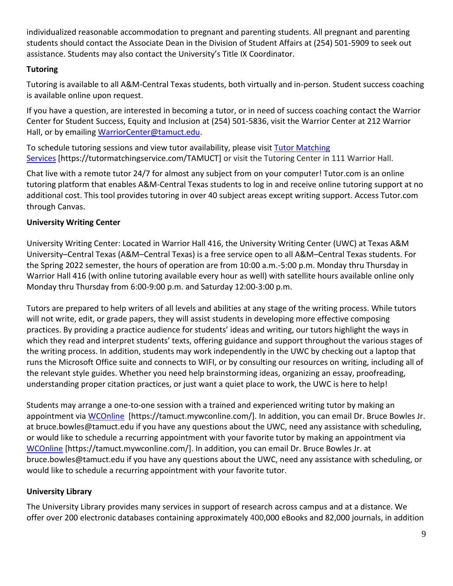individualized reasonable accommodation to pregnant and parenting students. All pregnant and parenting students should contact the Associate Dean in the Division of Student Affairs at (254) 501-5909 to seek out assistance. Students may also contact the University's Title IX Coordinator.

## **Tutoring**

Tutoring is available to all A&M-Central Texas students, both virtually and in-person. Student success coaching is available online upon request.

If you have a question, are interested in becoming a tutor, or in need of success coaching contact the Warrior Center for Student Success, Equity and Inclusion at (254) 501-5836, visit the Warrior Center at 212 Warrior Hall, or by emailing [WarriorCenter@tamuct.edu.](mailto:WarriorCenter@tamuct.edu)

To schedule tutoring sessions and view tutor availability, please visit Tutor [Matching](https://tutormatchingservice.com/TAMUCT) [Services](https://tutormatchingservice.com/TAMUCT) [https://tutormatchingservice.com/TAMUCT] or visit the Tutoring Center in 111 Warrior Hall.

Chat live with a remote tutor 24/7 for almost any subject from on your computer! Tutor.com is an online tutoring platform that enables A&M-Central Texas students to log in and receive online tutoring support at no additional cost. This tool provides tutoring in over 40 subject areas except writing support. Access Tutor.com through Canvas.

## **University Writing Center**

University Writing Center: Located in Warrior Hall 416, the University Writing Center (UWC) at Texas A&M University–Central Texas (A&M–Central Texas) is a free service open to all A&M–Central Texas students. For the Spring 2022 semester, the hours of operation are from 10:00 a.m.-5:00 p.m. Monday thru Thursday in Warrior Hall 416 (with online tutoring available every hour as well) with satellite hours available online only Monday thru Thursday from 6:00-9:00 p.m. and Saturday 12:00-3:00 p.m.

Tutors are prepared to help writers of all levels and abilities at any stage of the writing process. While tutors will not write, edit, or grade papers, they will assist students in developing more effective composing practices. By providing a practice audience for students' ideas and writing, our tutors highlight the ways in which they read and interpret students' texts, offering guidance and support throughout the various stages of the writing process. In addition, students may work independently in the UWC by checking out a laptop that runs the Microsoft Office suite and connects to WIFI, or by consulting our resources on writing, including all of the relevant style guides. Whether you need help brainstorming ideas, organizing an essay, proofreading, understanding proper citation practices, or just want a quiet place to work, the UWC is here to help!

Students may arrange a one-to-one session with a trained and experienced writing tutor by making an appointment via [WCOnline](https://tamuct.mywconline.com/) [https://tamuct.mywconline.com/]. In addition, you can email Dr. Bruce Bowles Jr. at bruce.bowles@tamuct.edu if you have any questions about the UWC, need any assistance with scheduling, or would like to schedule a recurring appointment with your favorite tutor by making an appointment via [WCOnline](https://tamuct.mywconline.com/) [https://tamuct.mywconline.com/]. In addition, you can email Dr. Bruce Bowles Jr. at bruce.bowles@tamuct.edu if you have any questions about the UWC, need any assistance with scheduling, or would like to schedule a recurring appointment with your favorite tutor.

# **University Library**

The University Library provides many services in support of research across campus and at a distance. We offer over 200 electronic databases containing approximately 400,000 eBooks and 82,000 journals, in addition